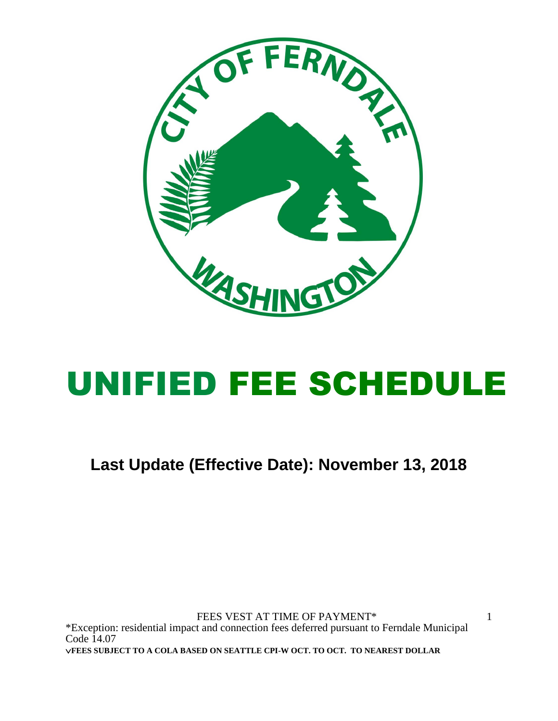

# UNIFIED FEE SCHEDULE

**Last Update (Effective Date): November 13, 2018**

FEES VEST AT TIME OF PAYMENT\* \*Exception: residential impact and connection fees deferred pursuant to Ferndale Municipal Code 14.07 **FEES SUBJECT TO A COLA BASED ON SEATTLE CPI-W OCT. TO OCT. TO NEAREST DOLLAR**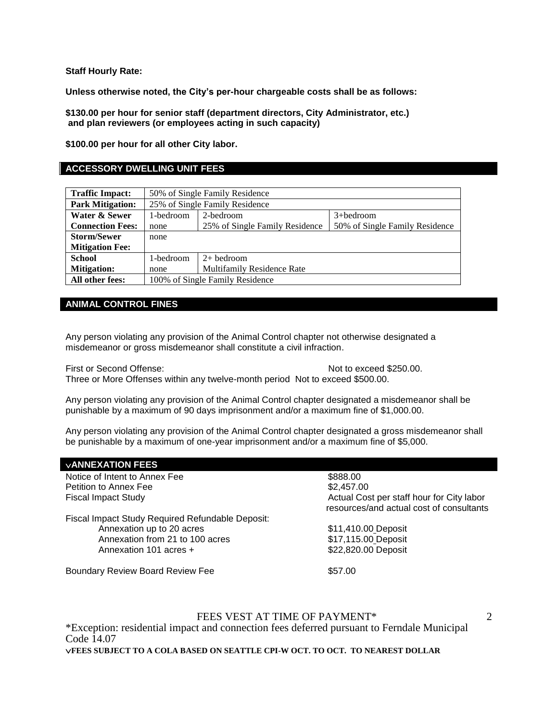**Staff Hourly Rate:**

**Unless otherwise noted, the City's per-hour chargeable costs shall be as follows:**

**\$130.00 per hour for senior staff (department directors, City Administrator, etc.) and plan reviewers (or employees acting in such capacity)**

**\$100.00 per hour for all other City labor.**

# **ACCESSORY DWELLING UNIT FEES**

| <b>Traffic Impact:</b>  | 50% of Single Family Residence                 |                                   |                                |
|-------------------------|------------------------------------------------|-----------------------------------|--------------------------------|
| <b>Park Mitigation:</b> |                                                | 25% of Single Family Residence    |                                |
| Water & Sewer           | 2-bedroom<br>1-bedroom<br>$3 + \text{bedroom}$ |                                   |                                |
| <b>Connection Fees:</b> | none                                           | 25% of Single Family Residence    | 50% of Single Family Residence |
| <b>Storm/Sewer</b>      | none                                           |                                   |                                |
| <b>Mitigation Fee:</b>  |                                                |                                   |                                |
| <b>School</b>           | 1-bedroom                                      | $2+$ bedroom                      |                                |
| <b>Mitigation:</b>      | none                                           | <b>Multifamily Residence Rate</b> |                                |
| All other fees:         |                                                | 100% of Single Family Residence   |                                |

# **ANIMAL CONTROL FINES**

Any person violating any provision of the Animal Control chapter not otherwise designated a misdemeanor or gross misdemeanor shall constitute a civil infraction.

First or Second Offense:  $\blacksquare$  Not to exceed \$250.00.

Three or More Offenses within any twelve-month period Not to exceed \$500.00.

Any person violating any provision of the Animal Control chapter designated a misdemeanor shall be punishable by a maximum of 90 days imprisonment and/or a maximum fine of \$1,000.00.

Any person violating any provision of the Animal Control chapter designated a gross misdemeanor shall be punishable by a maximum of one-year imprisonment and/or a maximum fine of \$5,000.

| <b>VANNEXATION FEES</b>                          |                                                                                       |
|--------------------------------------------------|---------------------------------------------------------------------------------------|
| Notice of Intent to Annex Fee                    | \$888.00                                                                              |
| Petition to Annex Fee                            | \$2,457.00                                                                            |
| <b>Fiscal Impact Study</b>                       | Actual Cost per staff hour for City labor<br>resources/and actual cost of consultants |
| Fiscal Impact Study Required Refundable Deposit: |                                                                                       |
| Annexation up to 20 acres                        | \$11,410.00 Deposit                                                                   |
| Annexation from 21 to 100 acres                  | \$17,115.00 Deposit                                                                   |
| Annexation 101 acres +                           | \$22,820.00 Deposit                                                                   |
| <b>Boundary Review Board Review Fee</b>          | \$57.00                                                                               |

# FEES VEST AT TIME OF PAYMENT\*

\*Exception: residential impact and connection fees deferred pursuant to Ferndale Municipal Code  $14.07$ **FEES SUBJECT TO A COLA BASED ON SEATTLE CPI-W OCT. TO OCT. TO NEAREST DOLLAR**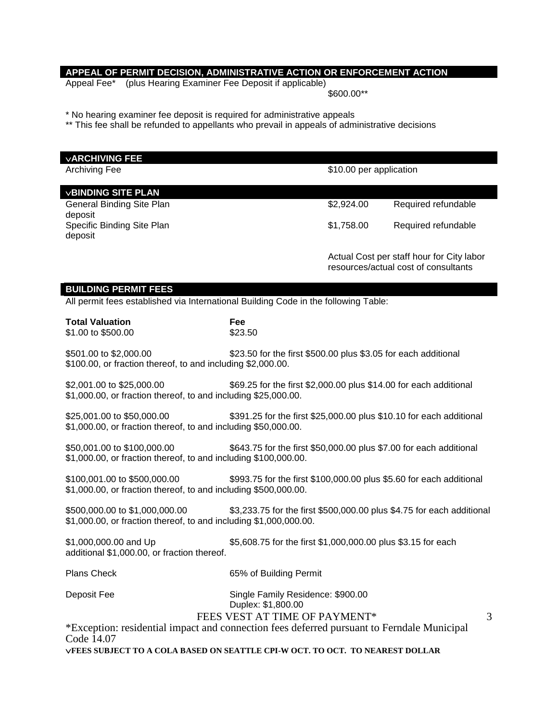# **APPEAL OF PERMIT DECISION, ADMINISTRATIVE ACTION OR ENFORCEMENT ACTION**

Appeal Fee\* (plus Hearing Examiner Fee Deposit if applicable)

\$600.00\*\*

\* No hearing examiner fee deposit is required for administrative appeals

\*\* This fee shall be refunded to appellants who prevail in appeals of administrative decisions

| <b>VARCHIVING FEE</b>                                                                               |                                                                       |                         |                                                                                   |   |
|-----------------------------------------------------------------------------------------------------|-----------------------------------------------------------------------|-------------------------|-----------------------------------------------------------------------------------|---|
| <b>Archiving Fee</b>                                                                                |                                                                       | \$10.00 per application |                                                                                   |   |
| <b>VBINDING SITE PLAN</b>                                                                           |                                                                       |                         |                                                                                   |   |
| General Binding Site Plan                                                                           |                                                                       | \$2,924.00              | Required refundable                                                               |   |
| deposit                                                                                             |                                                                       |                         |                                                                                   |   |
| Specific Binding Site Plan<br>deposit                                                               |                                                                       | \$1,758.00              | Required refundable                                                               |   |
|                                                                                                     |                                                                       |                         |                                                                                   |   |
|                                                                                                     |                                                                       |                         | Actual Cost per staff hour for City labor<br>resources/actual cost of consultants |   |
|                                                                                                     |                                                                       |                         |                                                                                   |   |
| <b>BUILDING PERMIT FEES</b>                                                                         |                                                                       |                         |                                                                                   |   |
| All permit fees established via International Building Code in the following Table:                 |                                                                       |                         |                                                                                   |   |
| <b>Total Valuation</b>                                                                              | Fee                                                                   |                         |                                                                                   |   |
| \$1.00 to \$500.00                                                                                  | \$23.50                                                               |                         |                                                                                   |   |
| \$501.00 to \$2,000.00                                                                              | \$23.50 for the first \$500.00 plus \$3.05 for each additional        |                         |                                                                                   |   |
| \$100.00, or fraction thereof, to and including \$2,000.00.                                         |                                                                       |                         |                                                                                   |   |
| \$2,001.00 to \$25,000.00                                                                           | \$69.25 for the first \$2,000.00 plus \$14.00 for each additional     |                         |                                                                                   |   |
| \$1,000.00, or fraction thereof, to and including \$25,000.00.                                      |                                                                       |                         |                                                                                   |   |
| \$25,001.00 to \$50,000.00                                                                          | \$391.25 for the first \$25,000.00 plus \$10.10 for each additional   |                         |                                                                                   |   |
| \$1,000.00, or fraction thereof, to and including \$50,000.00.                                      |                                                                       |                         |                                                                                   |   |
| \$50,001.00 to \$100,000.00                                                                         | \$643.75 for the first \$50,000.00 plus \$7.00 for each additional    |                         |                                                                                   |   |
| \$1,000.00, or fraction thereof, to and including \$100,000.00.                                     |                                                                       |                         |                                                                                   |   |
| \$100,001.00 to \$500,000.00<br>\$993.75 for the first \$100,000.00 plus \$5.60 for each additional |                                                                       |                         |                                                                                   |   |
| \$1,000.00, or fraction thereof, to and including \$500,000.00.                                     |                                                                       |                         |                                                                                   |   |
| \$500,000.00 to \$1,000,000.00                                                                      | \$3,233.75 for the first \$500,000.00 plus \$4.75 for each additional |                         |                                                                                   |   |
| \$1,000.00, or fraction thereof, to and including \$1,000,000.00.                                   |                                                                       |                         |                                                                                   |   |
| \$1,000,000.00 and Up                                                                               | \$5,608.75 for the first \$1,000,000.00 plus \$3.15 for each          |                         |                                                                                   |   |
| additional \$1,000.00, or fraction thereof.                                                         |                                                                       |                         |                                                                                   |   |
| <b>Plans Check</b>                                                                                  | 65% of Building Permit                                                |                         |                                                                                   |   |
|                                                                                                     |                                                                       |                         |                                                                                   |   |
| Deposit Fee                                                                                         | Single Family Residence: \$900.00<br>Duplex: \$1,800.00               |                         |                                                                                   |   |
|                                                                                                     | FEES VEST AT TIME OF PAYMENT*                                         |                         |                                                                                   | 3 |
| *Exception: residential impact and connection fees deferred pursuant to Ferndale Municipal          |                                                                       |                         |                                                                                   |   |
| Code 14.07<br>VFEES SUBJECT TO A COLA BASED ON SEATTLE CPI-W OCT. TO OCT. TO NEAREST DOLLAR         |                                                                       |                         |                                                                                   |   |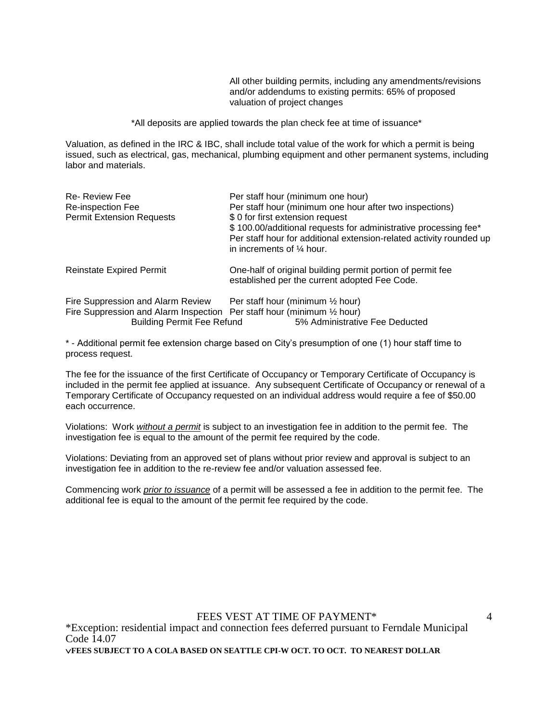All other building permits, including any amendments/revisions and/or addendums to existing permits: 65% of proposed valuation of project changes

\*All deposits are applied towards the plan check fee at time of issuance\*

Valuation, as defined in the IRC & IBC, shall include total value of the work for which a permit is being issued, such as electrical, gas, mechanical, plumbing equipment and other permanent systems, including labor and materials.

| <b>Re- Review Fee</b><br>Re-inspection Fee<br><b>Permit Extension Requests</b>                                  | Per staff hour (minimum one hour)<br>Per staff hour (minimum one hour after two inspections)<br>\$0 for first extension request<br>\$100.00/additional requests for administrative processing fee*<br>Per staff hour for additional extension-related activity rounded up<br>in increments of $\frac{1}{4}$ hour. |
|-----------------------------------------------------------------------------------------------------------------|-------------------------------------------------------------------------------------------------------------------------------------------------------------------------------------------------------------------------------------------------------------------------------------------------------------------|
| <b>Reinstate Expired Permit</b>                                                                                 | One-half of original building permit portion of permit fee<br>established per the current adopted Fee Code.                                                                                                                                                                                                       |
| Fire Suppression and Alarm Review<br>Fire Suppression and Alarm Inspection<br><b>Building Permit Fee Refund</b> | Per staff hour (minimum $\frac{1}{2}$ hour)<br>Per staff hour (minimum $\frac{1}{2}$ hour)<br>5% Administrative Fee Deducted                                                                                                                                                                                      |

\* - Additional permit fee extension charge based on City's presumption of one (1) hour staff time to process request.

The fee for the issuance of the first Certificate of Occupancy or Temporary Certificate of Occupancy is included in the permit fee applied at issuance. Any subsequent Certificate of Occupancy or renewal of a Temporary Certificate of Occupancy requested on an individual address would require a fee of \$50.00 each occurrence.

Violations: Work *without a permit* is subject to an investigation fee in addition to the permit fee. The investigation fee is equal to the amount of the permit fee required by the code.

Violations: Deviating from an approved set of plans without prior review and approval is subject to an investigation fee in addition to the re-review fee and/or valuation assessed fee.

Commencing work *prior to issuance* of a permit will be assessed a fee in addition to the permit fee. The additional fee is equal to the amount of the permit fee required by the code.

FEES VEST AT TIME OF PAYMENT\*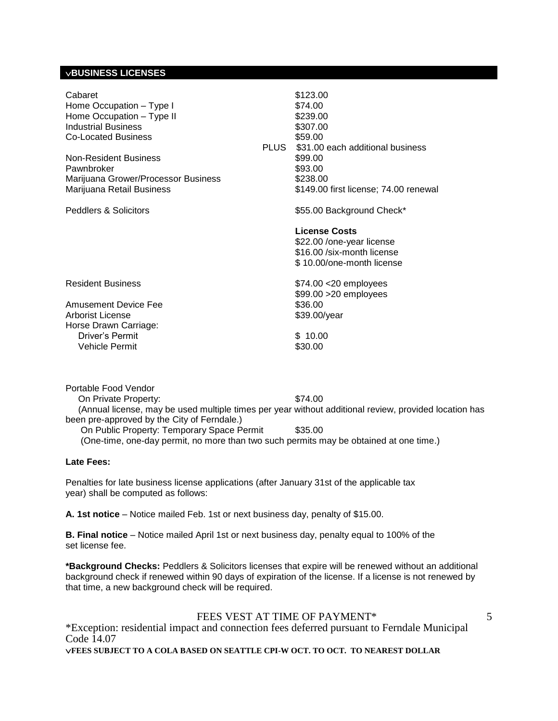# **BUSINESS LICENSES**

| Cabaret<br>Home Occupation - Type I<br>Home Occupation - Type II<br><b>Industrial Business</b><br><b>Co-Located Business</b><br>Non-Resident Business<br>Pawnbroker<br>Marijuana Grower/Processor Business<br>Marijuana Retail Business<br><b>Peddlers &amp; Solicitors</b> | PLUS | \$123.00<br>\$74.00<br>\$239.00<br>\$307.00<br>\$59.00<br>\$31.00 each additional business<br>\$99.00<br>\$93.00<br>\$238.00<br>\$149.00 first license; 74.00 renewal<br>\$55.00 Background Check*<br><b>License Costs</b><br>\$22.00 / one-year license<br>\$16.00 /six-month license<br>\$10.00/one-month license |
|-----------------------------------------------------------------------------------------------------------------------------------------------------------------------------------------------------------------------------------------------------------------------------|------|---------------------------------------------------------------------------------------------------------------------------------------------------------------------------------------------------------------------------------------------------------------------------------------------------------------------|
| <b>Resident Business</b>                                                                                                                                                                                                                                                    |      | $$74.00 < 20$ employees<br>\$99.00 > 20 employees                                                                                                                                                                                                                                                                   |
| <b>Amusement Device Fee</b><br>Arborist License<br>Horse Drawn Carriage:                                                                                                                                                                                                    |      | \$36.00<br>\$39.00/year                                                                                                                                                                                                                                                                                             |
| Driver's Permit<br>Vehicle Permit                                                                                                                                                                                                                                           |      | \$10.00<br>\$30.00                                                                                                                                                                                                                                                                                                  |

Portable Food Vendor On Private Property: \$74.00 (Annual license, may be used multiple times per year without additional review, provided location has been pre-approved by the City of Ferndale.) On Public Property: Temporary Space Permit \$35.00

(One-time, one-day permit, no more than two such permits may be obtained at one time.)

#### **Late Fees:**

Penalties for late business license applications (after January 31st of the applicable tax year) shall be computed as follows:

**A. 1st notice** – Notice mailed Feb. 1st or next business day, penalty of \$15.00.

**B. Final notice** – Notice mailed April 1st or next business day, penalty equal to 100% of the set license fee.

**\*Background Checks:** Peddlers & Solicitors licenses that expire will be renewed without an additional background check if renewed within 90 days of expiration of the license. If a license is not renewed by that time, a new background check will be required.

FEES VEST AT TIME OF PAYMENT\*

5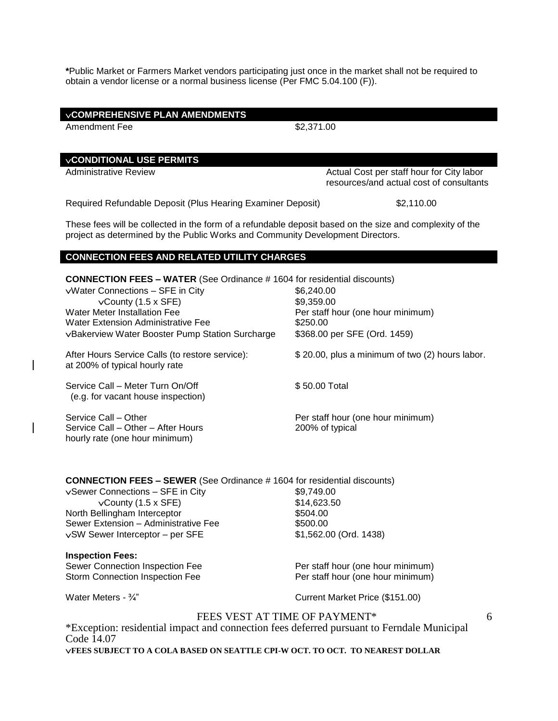**\***Public Market or Farmers Market vendors participating just once in the market shall not be required to obtain a vendor license or a normal business license (Per FMC 5.04.100 (F)).

| <b>VCOMPREHENSIVE PLAN AMENDMENTS</b><br><b>Amendment Fee</b>                                                                                                                                                                                                                             | \$2,371.00                                                                                                |  |
|-------------------------------------------------------------------------------------------------------------------------------------------------------------------------------------------------------------------------------------------------------------------------------------------|-----------------------------------------------------------------------------------------------------------|--|
| <b>VCONDITIONAL USE PERMITS</b>                                                                                                                                                                                                                                                           |                                                                                                           |  |
| <b>Administrative Review</b>                                                                                                                                                                                                                                                              | Actual Cost per staff hour for City labor<br>resources/and actual cost of consultants                     |  |
| Required Refundable Deposit (Plus Hearing Examiner Deposit)                                                                                                                                                                                                                               | \$2,110.00                                                                                                |  |
| These fees will be collected in the form of a refundable deposit based on the size and complexity of the<br>project as determined by the Public Works and Community Development Directors.                                                                                                |                                                                                                           |  |
| <b>CONNECTION FEES AND RELATED UTILITY CHARGES</b>                                                                                                                                                                                                                                        |                                                                                                           |  |
| <b>CONNECTION FEES - WATER (See Ordinance # 1604 for residential discounts)</b><br>vWater Connections - SFE in City<br>$\sqrt{$ County (1.5 x SFE)<br><b>Water Meter Installation Fee</b><br><b>Water Extension Administrative Fee</b><br>vBakerview Water Booster Pump Station Surcharge | \$6,240.00<br>\$9,359.00<br>Per staff hour (one hour minimum)<br>\$250.00<br>\$368.00 per SFE (Ord. 1459) |  |
| After Hours Service Calls (to restore service):<br>at 200% of typical hourly rate                                                                                                                                                                                                         | \$20.00, plus a minimum of two (2) hours labor.                                                           |  |
| Service Call - Meter Turn On/Off<br>(e.g. for vacant house inspection)                                                                                                                                                                                                                    | \$50.00 Total                                                                                             |  |
| Service Call - Other<br>Service Call - Other - After Hours<br>hourly rate (one hour minimum)                                                                                                                                                                                              | Per staff hour (one hour minimum)<br>200% of typical                                                      |  |
| <b>CONNECTION FEES - SEWER</b> (See Ordinance # 1604 for residential discounts)<br>vSewer Connections - SFE in City<br>$\sqrt{$ County (1.5 x SFE)<br>North Bellingham Interceptor<br>Sewer Extension - Administrative Fee<br>vSW Sewer Interceptor - per SFE                             | \$9,749.00<br>\$14,623.50<br>\$504.00<br>\$500.00<br>\$1,562.00 (Ord. 1438)                               |  |
| <b>Inspection Fees:</b><br>Sewer Connection Inspection Fee<br>Storm Connection Inspection Fee                                                                                                                                                                                             | Per staff hour (one hour minimum)<br>Per staff hour (one hour minimum)                                    |  |
| Water Meters - 3/4"                                                                                                                                                                                                                                                                       | Current Market Price (\$151.00)                                                                           |  |
| FEES VEST AT TIME OF PAYMENT*<br>6<br>*Exception: residential impact and connection fees deferred pursuant to Ferndale Municipal<br>Code 14.07                                                                                                                                            |                                                                                                           |  |

 $\overline{\phantom{a}}$ 

 $\overline{\phantom{a}}$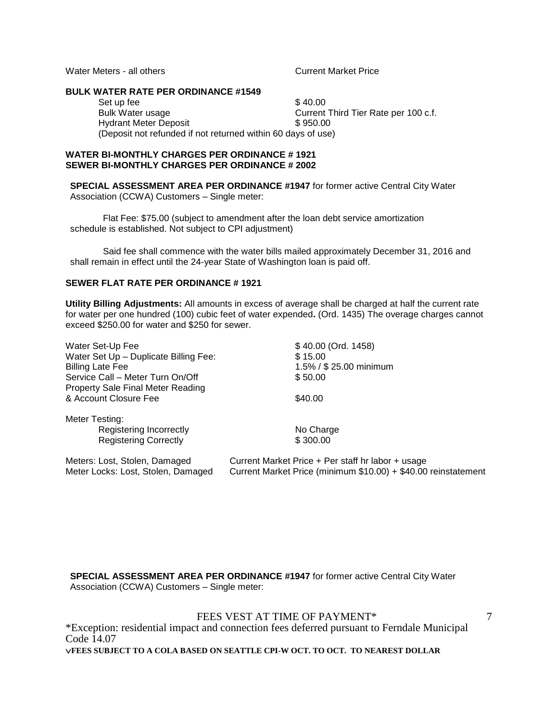Water Meters - all others Current Market Price

#### **BULK WATER RATE PER ORDINANCE #1549**

Set up fee  $$ 40.00$ Bulk Water usage **Current Third Tier Rate per 100 c.f.** Hydrant Meter Deposit \$950.00 (Deposit not refunded if not returned within 60 days of use)

#### **WATER BI-MONTHLY CHARGES PER ORDINANCE # 1921 SEWER BI-MONTHLY CHARGES PER ORDINANCE # 2002**

**SPECIAL ASSESSMENT AREA PER ORDINANCE #1947** for former active Central City Water Association (CCWA) Customers – Single meter:

Flat Fee: \$75.00 (subject to amendment after the loan debt service amortization schedule is established. Not subject to CPI adjustment)

Said fee shall commence with the water bills mailed approximately December 31, 2016 and shall remain in effect until the 24-year State of Washington loan is paid off.

# **SEWER FLAT RATE PER ORDINANCE # 1921**

**Utility Billing Adjustments:** All amounts in excess of average shall be charged at half the current rate for water per one hundred (100) cubic feet of water expended**.** (Ord. 1435) The overage charges cannot exceed \$250.00 for water and \$250 for sewer.

| Water Set-Up Fee                      | \$40.00 (Ord. 1458)                                            |
|---------------------------------------|----------------------------------------------------------------|
| Water Set Up - Duplicate Billing Fee: | \$15.00                                                        |
| <b>Billing Late Fee</b>               | 1.5% / \$ 25.00 minimum                                        |
| Service Call – Meter Turn On/Off      | \$50.00                                                        |
| Property Sale Final Meter Reading     |                                                                |
| & Account Closure Fee                 | \$40.00                                                        |
| Meter Testing:                        |                                                                |
| Registering Incorrectly               | No Charge                                                      |
| <b>Registering Correctly</b>          | \$300.00                                                       |
| Meters: Lost, Stolen, Damaged         | Current Market Price + Per staff hr labor + usage              |
| Meter Locks: Lost. Stolen. Damaged    | Current Market Price (minimum \$10.00) + \$40.00 reinstatement |

**SPECIAL ASSESSMENT AREA PER ORDINANCE #1947** for former active Central City Water Association (CCWA) Customers – Single meter:

FEES VEST AT TIME OF PAYMENT\*

7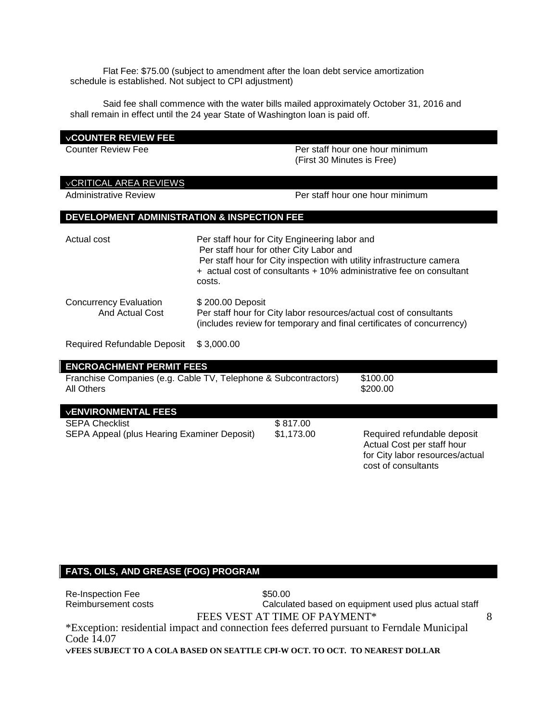Flat Fee: \$75.00 (subject to amendment after the loan debt service amortization schedule is established. Not subject to CPI adjustment)

Said fee shall commence with the water bills mailed approximately October 31, 2016 and shall remain in effect until the 24 year State of Washington loan is paid off.

# **COUNTER REVIEW FEE**

Counter Review Fee **Per staff hour one hour minimum** (First 30 Minutes is Free)

# CRITICAL AREA REVIEWS

Administrative Review Per staff hour one hour minimum

# **DEVELOPMENT ADMINISTRATION & INSPECTION FEE**

| Actual cost                                      | Per staff hour for City Engineering labor and<br>Per staff hour for other City Labor and<br>Per staff hour for City inspection with utility infrastructure camera<br>+ actual cost of consultants + 10% administrative fee on consultant<br>costs. |
|--------------------------------------------------|----------------------------------------------------------------------------------------------------------------------------------------------------------------------------------------------------------------------------------------------------|
| <b>Concurrency Evaluation</b><br>And Actual Cost | \$200.00 Deposit<br>Per staff hour for City labor resources/actual cost of consultants<br>(includes review for temporary and final certificates of concurrency)                                                                                    |
| <b>Required Refundable Deposit</b>               | \$3,000.00                                                                                                                                                                                                                                         |

# **ENCROACHMENT PERMIT FEES** Franchise Companies (e.g. Cable TV, Telephone & Subcontractors) \$100.00 All Others \$200.00

| <b>VENVIRONMENTAL FEES</b>                  |            |                                                           |
|---------------------------------------------|------------|-----------------------------------------------------------|
| <b>SEPA Checklist</b>                       | \$817.00   |                                                           |
| SEPA Appeal (plus Hearing Examiner Deposit) | \$1.173.00 | Required refundable deposit<br>Actual Cost per staff hour |

# **FATS, OILS, AND GREASE (FOG) PROGRAM**

FEES VEST AT TIME OF PAYMENT\* \*Exception: residential impact and connection fees deferred pursuant to Ferndale Municipal Code  $14.07$ 8 Re-Inspection Fee  $$50.00$ Reimbursement costs **Calculated based on equipment used plus actual staff** 

**FEES SUBJECT TO A COLA BASED ON SEATTLE CPI-W OCT. TO OCT. TO NEAREST DOLLAR**

for City labor resources/actual

cost of consultants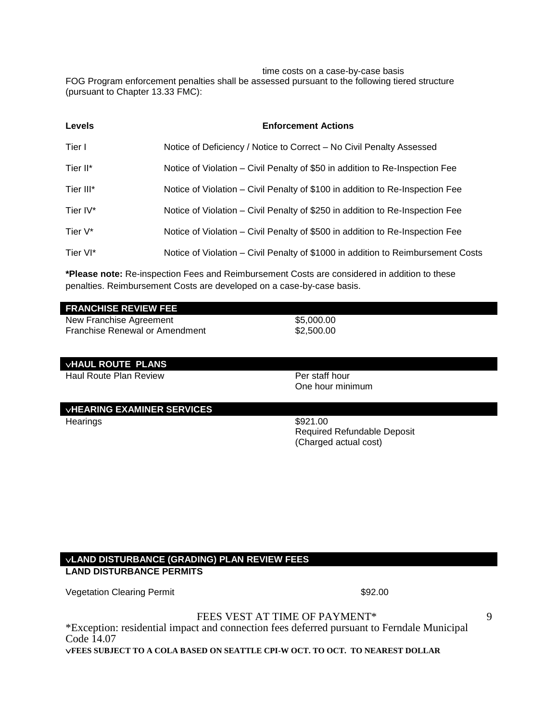time costs on a case-by-case basis

FOG Program enforcement penalties shall be assessed pursuant to the following tiered structure (pursuant to Chapter 13.33 FMC):

| <b>Levels</b> | <b>Enforcement Actions</b>                                                       |
|---------------|----------------------------------------------------------------------------------|
| Tier I        | Notice of Deficiency / Notice to Correct - No Civil Penalty Assessed             |
| Tier II*      | Notice of Violation – Civil Penalty of \$50 in addition to Re-Inspection Fee     |
| Tier III*     | Notice of Violation – Civil Penalty of \$100 in addition to Re-Inspection Fee    |
| Tier IV*      | Notice of Violation – Civil Penalty of \$250 in addition to Re-Inspection Fee    |
| Tier V*       | Notice of Violation – Civil Penalty of \$500 in addition to Re-Inspection Fee    |
| Tier VI*      | Notice of Violation – Civil Penalty of \$1000 in addition to Reimbursement Costs |

**\*Please note:** Re-inspection Fees and Reimbursement Costs are considered in addition to these penalties. Reimbursement Costs are developed on a case-by-case basis.

#### **FRANCHISE REVIEW FEE**

New Franchise Agreement \$5,000.00<br>Franchise Renewal or Amendment \$2,500.00 Franchise Renewal or Amendment

#### **VHAUL ROUTE PLANS**

Haul Route Plan Review **Per staff hour** 

# **VHEARING EXAMINER SERVICES**

Hearings \$921.00

One hour minimum

Required Refundable Deposit (Charged actual cost)

# **LAND DISTURBANCE (GRADING) PLAN REVIEW FEES LAND DISTURBANCE PERMITS**

Vegetation Clearing Permit **\$92.00** Special state  $\sim$  \$92.00

9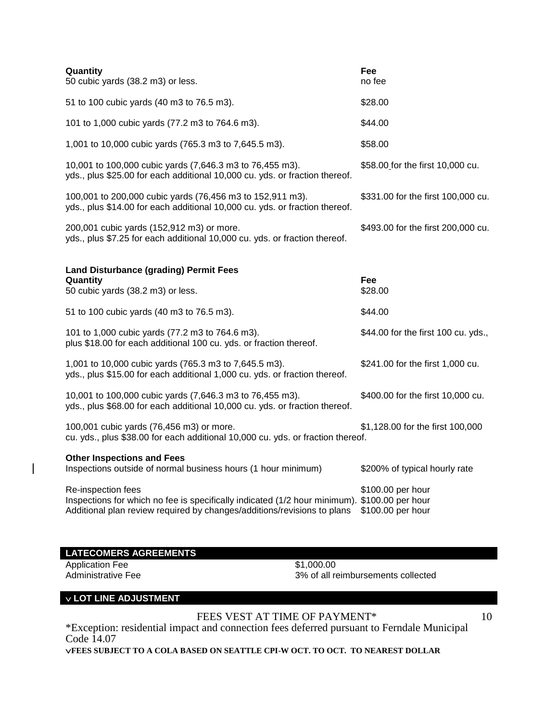| Quantity<br>50 cubic yards (38.2 m3) or less.                                                                                                                                                 | Fee<br>no fee                          |
|-----------------------------------------------------------------------------------------------------------------------------------------------------------------------------------------------|----------------------------------------|
| 51 to 100 cubic yards (40 m3 to 76.5 m3).                                                                                                                                                     | \$28.00                                |
| 101 to 1,000 cubic yards (77.2 m3 to 764.6 m3).                                                                                                                                               | \$44.00                                |
| 1,001 to 10,000 cubic yards (765.3 m3 to 7,645.5 m3).                                                                                                                                         | \$58.00                                |
| 10,001 to 100,000 cubic yards (7,646.3 m3 to 76,455 m3).<br>yds., plus \$25.00 for each additional 10,000 cu. yds. or fraction thereof.                                                       | \$58.00 for the first 10,000 cu.       |
| 100,001 to 200,000 cubic yards (76,456 m3 to 152,911 m3).<br>yds., plus \$14.00 for each additional 10,000 cu. yds. or fraction thereof.                                                      | \$331.00 for the first 100,000 cu.     |
| 200,001 cubic yards (152,912 m3) or more.<br>yds., plus \$7.25 for each additional 10,000 cu. yds. or fraction thereof.                                                                       | \$493.00 for the first 200,000 cu.     |
| <b>Land Disturbance (grading) Permit Fees</b>                                                                                                                                                 |                                        |
| Quantity<br>50 cubic yards (38.2 m3) or less.                                                                                                                                                 | Fee<br>\$28.00                         |
| 51 to 100 cubic yards (40 m3 to 76.5 m3).                                                                                                                                                     | \$44.00                                |
| 101 to 1,000 cubic yards (77.2 m3 to 764.6 m3).<br>plus \$18.00 for each additional 100 cu. yds. or fraction thereof.                                                                         | \$44.00 for the first 100 cu. yds.,    |
| 1,001 to 10,000 cubic yards (765.3 m3 to 7,645.5 m3).<br>yds., plus \$15.00 for each additional 1,000 cu. yds. or fraction thereof.                                                           | \$241.00 for the first 1,000 cu.       |
| 10,001 to 100,000 cubic yards (7,646.3 m3 to 76,455 m3).<br>yds., plus \$68.00 for each additional 10,000 cu. yds. or fraction thereof.                                                       | \$400.00 for the first 10,000 cu.      |
| 100,001 cubic yards (76,456 m3) or more.<br>cu. yds., plus \$38.00 for each additional 10,000 cu. yds. or fraction thereof.                                                                   | \$1,128.00 for the first 100,000       |
| <b>Other Inspections and Fees</b><br>Inspections outside of normal business hours (1 hour minimum)                                                                                            | \$200% of typical hourly rate          |
| Re-inspection fees<br>Inspections for which no fee is specifically indicated (1/2 hour minimum). \$100.00 per hour<br>Additional plan review required by changes/additions/revisions to plans | \$100.00 per hour<br>\$100.00 per hour |

| <b>LATECOMERS AGREEMENTS</b> |                                    |
|------------------------------|------------------------------------|
| Application Fee              | \$1.000.00                         |
| Administrative Fee           | 3% of all reimbursements collected |
|                              |                                    |

# **LOT LINE ADJUSTMENT**

 $\overline{\phantom{a}}$ 

FEES VEST AT TIME OF PAYMENT\*

10

\*Exception: residential impact and connection fees deferred pursuant to Ferndale Municipal Code 14.07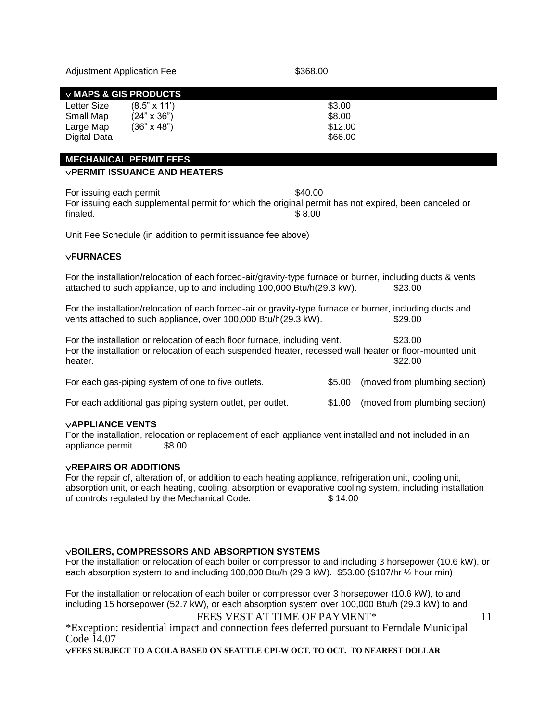| <b>Adjustment Application Fee</b> |  |
|-----------------------------------|--|
|-----------------------------------|--|

#### \$368.00

# **MAPS & GIS PRODUCTS**

| Letter Size  | $(8.5" \times 11')$ | \$3.00  |
|--------------|---------------------|---------|
| Small Map    | $(24" \times 36")$  | \$8.00  |
| Large Map    | $(36" \times 48")$  | \$12.00 |
| Digital Data |                     | \$66.00 |

#### **MECHANICAL PERMIT FEES**

# **PERMIT ISSUANCE AND HEATERS**

For issuing each permit  $$40.00$ For issuing each supplemental permit for which the original permit has not expired, been canceled or  $\text{finaled.}$   $\text{\$8.00}$ 

Unit Fee Schedule (in addition to permit issuance fee above)

# **FURNACES**

For the installation/relocation of each forced-air/gravity-type furnace or burner, including ducts & vents attached to such appliance, up to and including 100,000 Btu/h(29.3 kW). \$23.00

For the installation/relocation of each forced-air or gravity-type furnace or burner, including ducts and vents attached to such appliance, over 100,000 Btu/h(29.3 kW). \$29.00

For the installation or relocation of each floor furnace, including vent. \$23.00 For the installation or relocation of each suspended heater, recessed wall heater or floor-mounted unit heater. \$22.00

For each gas-piping system of one to five outlets.  $$5.00$  (moved from plumbing section) For each additional gas piping system outlet, per outlet. \$1.00 (moved from plumbing section)

#### **APPLIANCE VENTS**

For the installation, relocation or replacement of each appliance vent installed and not included in an appliance permit. \$8.00

# **REPAIRS OR ADDITIONS**

For the repair of, alteration of, or addition to each heating appliance, refrigeration unit, cooling unit, absorption unit, or each heating, cooling, absorption or evaporative cooling system, including installation of controls regulated by the Mechanical Code. \$ 14.00

# **BOILERS, COMPRESSORS AND ABSORPTION SYSTEMS**

For the installation or relocation of each boiler or compressor to and including 3 horsepower (10.6 kW), or each absorption system to and including 100,000 Btu/h (29.3 kW). \$53.00 (\$107/hr ½ hour min)

For the installation or relocation of each boiler or compressor over 3 horsepower (10.6 kW), to and including 15 horsepower (52.7 kW), or each absorption system over 100,000 Btu/h (29.3 kW) to and

# FEES VEST AT TIME OF PAYMENT\*

11

\*Exception: residential impact and connection fees deferred pursuant to Ferndale Municipal Code 14.07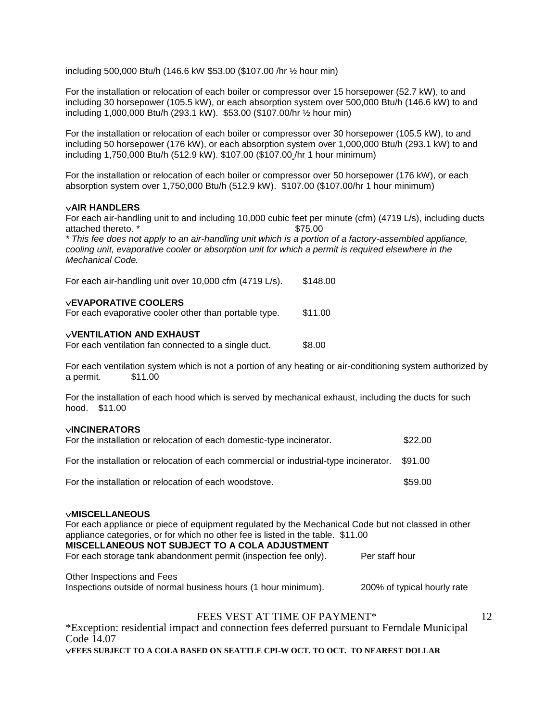including 500,000 Btu/h (146.6 kW \$53.00 (\$107.00 /hr ½ hour min)

For the installation or relocation of each boiler or compressor over 15 horsepower (52.7 kW), to and including 30 horsepower (105.5 kW), or each absorption system over 500,000 Btu/h (146.6 kW) to and including 1,000,000 Btu/h (293.1 kW). \$53.00 (\$107.00/hr ½ hour min)

For the installation or relocation of each boiler or compressor over 30 horsepower (105.5 kW), to and including 50 horsepower (176 kW), or each absorption system over 1,000,000 Btu/h (293.1 kW) to and including 1,750,000 Btu/h (512.9 kW). \$107.00 (\$107.00 /hr 1 hour minimum)

For the installation or relocation of each boiler or compressor over 50 horsepower (176 kW), or each absorption system over 1,750,000 Btu/h (512.9 kW). \$107.00 (\$107.00/hr 1 hour minimum)

#### **AIR HANDLERS**

For each air-handling unit to and including 10,000 cubic feet per minute (cfm) (4719 L/s), including ducts attached thereto. \*  $$75.00$ 

*\* This fee does not apply to an air-handling unit which is a portion of a factory-assembled appliance, cooling unit, evaporative cooler or absorption unit for which a permit is required elsewhere in the Mechanical Code.*

For each air-handling unit over 10,000 cfm (4719 L/s). \$148.00

#### **EVAPORATIVE COOLERS**

For each evaporative cooler other than portable type. \$11.00

#### **VENTILATION AND EXHAUST**

For each ventilation fan connected to a single duct. \$8.00

For each ventilation system which is not a portion of any heating or air-conditioning system authorized by a permit. \$11.00

For the installation of each hood which is served by mechanical exhaust, including the ducts for such hood. \$11.00

#### **INCINERATORS**

| For the installation or relocation of each domestic-type incinerator.                         | \$22.00 |
|-----------------------------------------------------------------------------------------------|---------|
| For the installation or relocation of each commercial or industrial-type incinerator. \$91.00 |         |
| For the installation or relocation of each woodstove.                                         | \$59.00 |

#### **MISCELLANEOUS**

For each appliance or piece of equipment regulated by the Mechanical Code but not classed in other appliance categories, or for which no other fee is listed in the table. \$11.00 **MISCELLANEOUS NOT SUBJECT TO A COLA ADJUSTMENT** For each storage tank abandonment permit (inspection fee only). Per staff hour Other Inspections and Fees

Inspections outside of normal business hours (1 hour minimum). 200% of typical hourly rate

# FEES VEST AT TIME OF PAYMENT\*

\*Exception: residential impact and connection fees deferred pursuant to Ferndale Municipal Code 14.07 **FEES SUBJECT TO A COLA BASED ON SEATTLE CPI-W OCT. TO OCT. TO NEAREST DOLLAR**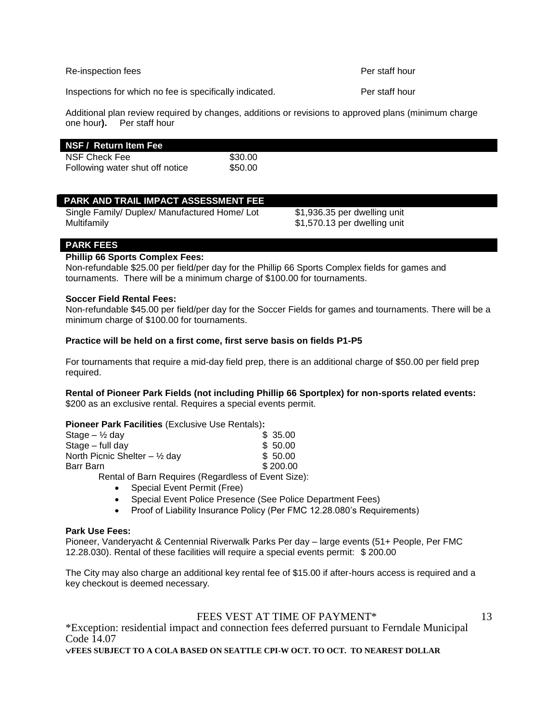Re-inspection fees **Per staff hour** 

Inspections for which no fee is specifically indicated. Per staff hour

Additional plan review required by changes, additions or revisions to approved plans (minimum charge one hour**).** Per staff hour

#### **NSF / Return Item Fee**

NSF Check Fee \$30.00 Following water shut off notice \$50.00

# **PARK AND TRAIL IMPACT ASSESSMENT FEE**

Single Family/ Duplex/ Manufactured Home/ Lot \$1,936.35 per dwelling unit Multifamily \$1,570.13 per dwelling unit

# **PARK FEES**

# **Phillip 66 Sports Complex Fees:**

Non-refundable \$25.00 per field/per day for the Phillip 66 Sports Complex fields for games and tournaments. There will be a minimum charge of \$100.00 for tournaments.

# **Soccer Field Rental Fees:**

Non-refundable \$45.00 per field/per day for the Soccer Fields for games and tournaments. There will be a minimum charge of \$100.00 for tournaments.

#### **Practice will be held on a first come, first serve basis on fields P1-P5**

For tournaments that require a mid-day field prep, there is an additional charge of \$50.00 per field prep required.

# **Rental of Pioneer Park Fields (not including Phillip 66 Sportplex) for non-sports related events:**

\$200 as an exclusive rental. Requires a special events permit.

# **Pioneer Park Facilities** (Exclusive Use Rentals)**:**

| Stage $-$ 1/2 day                            | \$35.00  |
|----------------------------------------------|----------|
| Stage – full day                             | \$50.00  |
| North Picnic Shelter $-$ 1/ <sub>2</sub> day | \$50.00  |
| Barr Barn                                    | \$200.00 |
|                                              |          |

Rental of Barn Requires (Regardless of Event Size):

- Special Event Permit (Free)
- Special Event Police Presence (See Police Department Fees)
- Proof of Liability Insurance Policy (Per FMC 12.28.080's Requirements)

#### **Park Use Fees:**

Pioneer, Vanderyacht & Centennial Riverwalk Parks Per day – large events (51+ People, Per FMC 12.28.030). Rental of these facilities will require a special events permit: \$ 200.00

The City may also charge an additional key rental fee of \$15.00 if after-hours access is required and a key checkout is deemed necessary.

# FEES VEST AT TIME OF PAYMENT\*

13

\*Exception: residential impact and connection fees deferred pursuant to Ferndale Municipal Code 14.07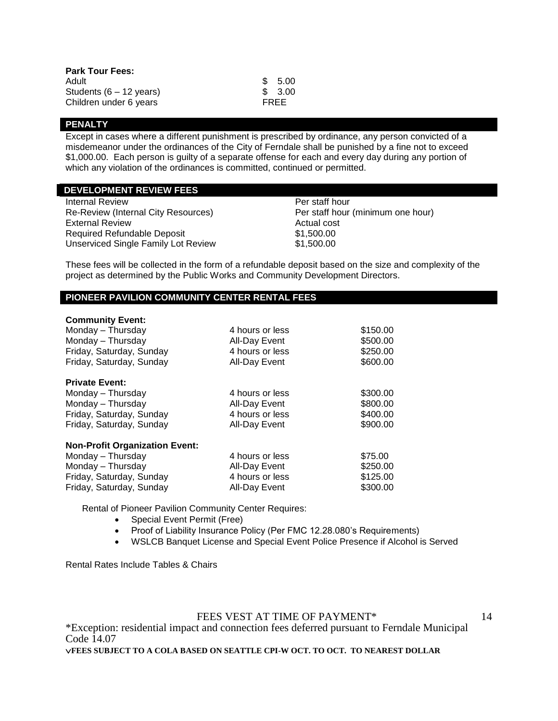| <b>Park Tour Fees:</b>            |      |         |
|-----------------------------------|------|---------|
| Adult                             |      | \$5.00  |
| Students $(6 - 12 \text{ years})$ |      | \$ 3.00 |
| Children under 6 years            | FREE |         |

#### **PENALTY**

Except in cases where a different punishment is prescribed by ordinance, any person convicted of a misdemeanor under the ordinances of the City of Ferndale shall be punished by a fine not to exceed \$1,000.00. Each person is guilty of a separate offense for each and every day during any portion of which any violation of the ordinances is committed, continued or permitted.

# **DEVELOPMENT REVIEW FEES**

Internal Review Per staff hour Re-Review (Internal City Resources) Per staff hour (minimum one hour) External Review **Actual cost Actual cost** Required Refundable Deposit \$1,500.00 Unserviced Single Family Lot Review \$1,500.00

These fees will be collected in the form of a refundable deposit based on the size and complexity of the project as determined by the Public Works and Community Development Directors.

# **PIONEER PAVILION COMMUNITY CENTER RENTAL FEES**

#### **Community Event:**

| Monday – Thursday                     | 4 hours or less | \$150.00 |
|---------------------------------------|-----------------|----------|
| Monday - Thursday                     | All-Day Event   | \$500.00 |
| Friday, Saturday, Sunday              | 4 hours or less | \$250.00 |
| Friday, Saturday, Sunday              | All-Day Event   | \$600.00 |
| <b>Private Event:</b>                 |                 |          |
| Monday - Thursday                     | 4 hours or less | \$300.00 |
| Monday - Thursday                     | All-Day Event   | \$800.00 |
| Friday, Saturday, Sunday              | 4 hours or less | \$400.00 |
| Friday, Saturday, Sunday              | All-Day Event   | \$900.00 |
| <b>Non-Profit Organization Event:</b> |                 |          |
| Monday - Thursday                     | 4 hours or less | \$75.00  |
| Monday - Thursday                     | All-Day Event   | \$250.00 |
| Friday, Saturday, Sunday              | 4 hours or less | \$125.00 |
| Friday, Saturday, Sunday              | All-Dav Event   | \$300.00 |

Rental of Pioneer Pavilion Community Center Requires:

- Special Event Permit (Free)
- Proof of Liability Insurance Policy (Per FMC 12.28.080's Requirements)
- WSLCB Banquet License and Special Event Police Presence if Alcohol is Served

Rental Rates Include Tables & Chairs

FEES VEST AT TIME OF PAYMENT\*

14

\*Exception: residential impact and connection fees deferred pursuant to Ferndale Municipal Code 14.07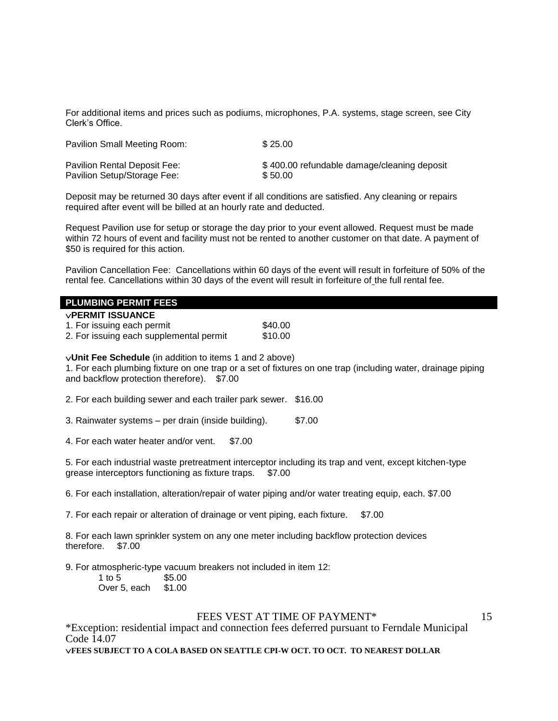For additional items and prices such as podiums, microphones, P.A. systems, stage screen, see City Clerk's Office.

| Pavilion Small Meeting Room: | \$25.00                                     |
|------------------------------|---------------------------------------------|
| Pavilion Rental Deposit Fee: | \$400.00 refundable damage/cleaning deposit |
| Pavilion Setup/Storage Fee:  | \$50.00                                     |

Deposit may be returned 30 days after event if all conditions are satisfied. Any cleaning or repairs required after event will be billed at an hourly rate and deducted.

Request Pavilion use for setup or storage the day prior to your event allowed. Request must be made within 72 hours of event and facility must not be rented to another customer on that date. A payment of \$50 is required for this action.

Pavilion Cancellation Fee: Cancellations within 60 days of the event will result in forfeiture of 50% of the rental fee. Cancellations within 30 days of the event will result in forfeiture of the full rental fee.

#### **PLUMBING PERMIT FEES**

1. For issuing each permit \$40.00 2. For issuing each supplemental permit \$10.00

**Unit Fee Schedule** (in addition to items 1 and 2 above)

1. For each plumbing fixture on one trap or a set of fixtures on one trap (including water, drainage piping and backflow protection therefore). \$7.00

2. For each building sewer and each trailer park sewer. \$16.00

3. Rainwater systems – per drain (inside building). \$7.00

4. For each water heater and/or vent. \$7.00

5. For each industrial waste pretreatment interceptor including its trap and vent, except kitchen-type grease interceptors functioning as fixture traps. \$7.00

6. For each installation, alteration/repair of water piping and/or water treating equip, each. \$7.00

7. For each repair or alteration of drainage or vent piping, each fixture. \$7.00

8. For each lawn sprinkler system on any one meter including backflow protection devices therefore. \$7.00

9. For atmospheric-type vacuum breakers not included in item 12:

| 1 to 5       | \$5.00 |
|--------------|--------|
| Over 5, each | \$1.00 |

#### FEES VEST AT TIME OF PAYMENT\*

15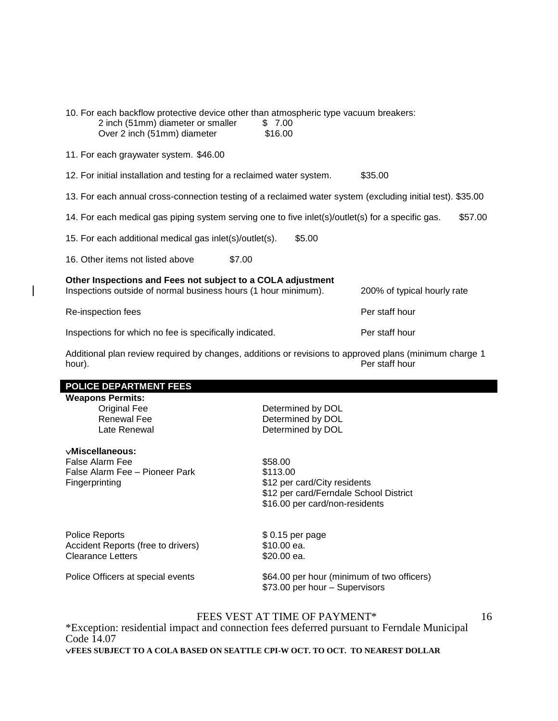| 10. For each backflow protective device other than atmospheric type vacuum breakers:<br>2 inch (51mm) diameter or smaller<br>Over 2 inch (51mm) diameter     | \$7.00<br>\$16.00 |                |
|--------------------------------------------------------------------------------------------------------------------------------------------------------------|-------------------|----------------|
| 11. For each graywater system. \$46.00                                                                                                                       |                   |                |
| 12. For initial installation and testing for a reclaimed water system.                                                                                       |                   | \$35.00        |
| 13. For each annual cross-connection testing of a reclaimed water system (excluding initial test). \$35.00                                                   |                   |                |
| 14. For each medical gas piping system serving one to five inlet(s)/outlet(s) for a specific gas.                                                            |                   | \$57.00        |
| 15. For each additional medical gas inlet(s)/outlet(s).                                                                                                      | \$5.00            |                |
| 16. Other items not listed above<br>\$7.00                                                                                                                   |                   |                |
| Other Inspections and Fees not subject to a COLA adjustment<br>Inspections outside of normal business hours (1 hour minimum).<br>200% of typical hourly rate |                   |                |
| Re-inspection fees                                                                                                                                           |                   | Per staff hour |
| Inspections for which no fee is specifically indicated.                                                                                                      |                   | Per staff hour |

Additional plan review required by changes, additions or revisions to approved plans (minimum charge 1 hour). Per staff hour

# **POLICE DEPARTMENT FEES**

# **Weapons Permits:**

# **Miscellaneous:**

False Alarm Fee \$58.00 False Alarm Fee – Pioneer Park<br>Fingerprinting

Determined by DOL Renewal Fee Determined by DOL Late Renewal **Determined by DOL** 

> \$12 per card/City residents \$12 per card/Ferndale School District \$16.00 per card/non-residents

Police Reports  $$ 0.15$  per page Accident Reports (free to drivers) \$10.00 ea. Clearance Letters \$20.00 ea.

Police Officers at special events \$64.00 per hour (minimum of two officers) \$73.00 per hour – Supervisors

# FEES VEST AT TIME OF PAYMENT\*

\*Exception: residential impact and connection fees deferred pursuant to Ferndale Municipal Code  $14.07$ **FEES SUBJECT TO A COLA BASED ON SEATTLE CPI-W OCT. TO OCT. TO NEAREST DOLLAR**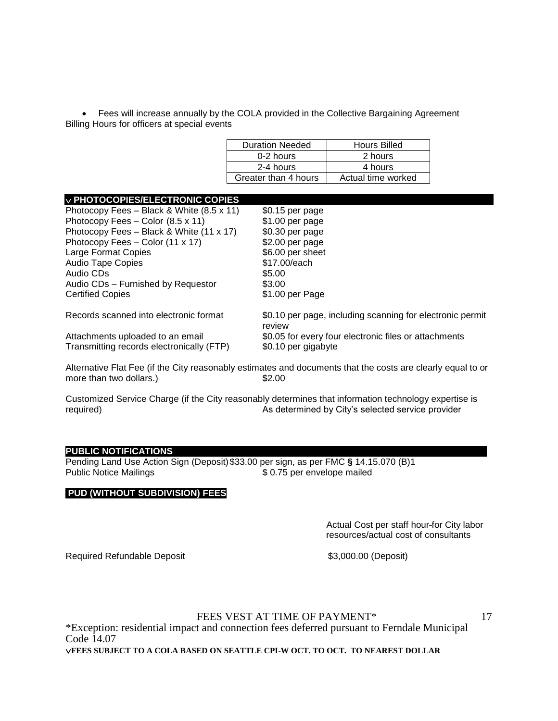• Fees will increase annually by the COLA provided in the Collective Bargaining Agreement Billing Hours for officers at special events

| <b>Duration Needed</b> | <b>Hours Billed</b> |
|------------------------|---------------------|
| 0-2 hours              | 2 hours             |
| 2-4 hours              | 4 hours             |
| Greater than 4 hours   | Actual time worked  |
|                        |                     |

#### **PHOTOCOPIES/ELECTRONIC COPIES**

| Photocopy Fees - Black & White (8.5 x 11) | \$0.15 per page                                                     |
|-------------------------------------------|---------------------------------------------------------------------|
| Photocopy Fees - Color (8.5 x 11)         | \$1.00 per page                                                     |
| Photocopy Fees - Black & White (11 x 17)  | \$0.30 per page                                                     |
| Photocopy Fees - Color (11 x 17)          | $$2.00$ per page                                                    |
| Large Format Copies                       | \$6.00 per sheet                                                    |
| <b>Audio Tape Copies</b>                  | \$17.00/each                                                        |
| Audio CDs                                 | \$5.00                                                              |
| Audio CDs - Furnished by Requestor        | \$3.00                                                              |
| <b>Certified Copies</b>                   | \$1.00 per Page                                                     |
| Records scanned into electronic format    | \$0.10 per page, including scanning for electronic permit<br>review |
| Attachments uploaded to an email          | \$0.05 for every four electronic files or attachments               |
| Transmitting records electronically (FTP) | \$0.10 per gigabyte                                                 |
|                                           |                                                                     |

Alternative Flat Fee (if the City reasonably estimates and documents that the costs are clearly equal to or more than two dollars.) \$2.00

Customized Service Charge (if the City reasonably determines that information technology expertise is required) As determined by City's selected service provider

# **PUBLIC NOTIFICATIONS**

Pending Land Use Action Sign (Deposit)\$33.00 per sign, as per FMC **§** 14.15.070 (B)1  $$ 0.75$  per envelope mailed

#### **PUD (WITHOUT SUBDIVISION) FEES**

Actual Cost per staff hour-for City labor resources/actual cost of consultants

Required Refundable Deposit \$3,000.00 (Deposit)

FEES VEST AT TIME OF PAYMENT\*

17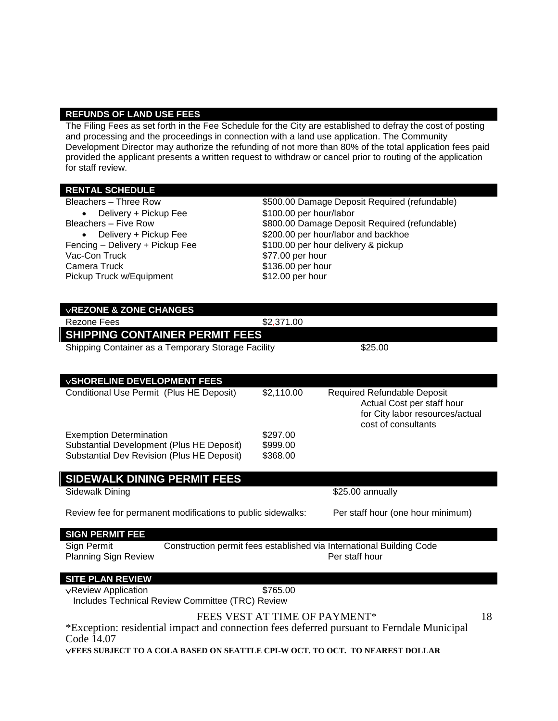#### **REFUNDS OF LAND USE FEES**

The Filing Fees as set forth in the Fee Schedule for the City are established to defray the cost of posting and processing and the proceedings in connection with a land use application. The Community Development Director may authorize the refunding of not more than 80% of the total application fees paid provided the applicant presents a written request to withdraw or cancel prior to routing of the application for staff review.

# **RENTAL SCHEDULE**

| Bleachers - Three Row                              | \$500.00 Damage Deposit Required (refundable) |                                               |  |
|----------------------------------------------------|-----------------------------------------------|-----------------------------------------------|--|
| Delivery + Pickup Fee<br>$\bullet$                 | \$100.00 per hour/labor                       |                                               |  |
| Bleachers - Five Row                               |                                               | \$800.00 Damage Deposit Required (refundable) |  |
| Delivery + Pickup Fee                              |                                               | \$200.00 per hour/labor and backhoe           |  |
| Fencing - Delivery + Pickup Fee                    | \$100.00 per hour delivery & pickup           |                                               |  |
| Vac-Con Truck                                      | \$77.00 per hour                              |                                               |  |
| Camera Truck                                       | \$136.00 per hour                             |                                               |  |
| Pickup Truck w/Equipment                           | \$12.00 per hour                              |                                               |  |
|                                                    |                                               |                                               |  |
|                                                    |                                               |                                               |  |
| <b>VREZONE &amp; ZONE CHANGES</b>                  |                                               |                                               |  |
| Rezone Fees                                        | \$2,371.00                                    |                                               |  |
| <b>SHIPPING CONTAINER PERMIT FEES</b>              |                                               |                                               |  |
| Shipping Container as a Temporary Storage Facility |                                               | \$25.00                                       |  |
|                                                    |                                               |                                               |  |
|                                                    |                                               |                                               |  |
| <b>VSHORELINE DEVELOPMENT FEES</b>                 |                                               |                                               |  |
| Conditional Use Permit (Plus HE Deposit)           | \$2,110.00                                    | <b>Required Refundable Deposit</b>            |  |

|                                            |          | for City labor resources/actual<br>cost of consultants |
|--------------------------------------------|----------|--------------------------------------------------------|
| <b>Exemption Determination</b>             | \$297.00 |                                                        |
| Substantial Development (Plus HE Deposit)  | \$999.00 |                                                        |
| Substantial Dev Revision (Plus HE Deposit) | \$368.00 |                                                        |

# **SIDEWALK DINING PERMIT FEES Sidewalk Dining b b 1 and 1 and 1 and 1 325.00 annually** Review fee for permanent modifications to public sidewalks: Per staff hour (one hour minimum) **SIGN PERMIT FEE** Sign Permit Construction permit fees established via International Building Code

Planning Sign Review **Per staff hour** 

# **SITE PLAN REVIEW**

vReview Application **\$765.00** 

Includes Technical Review Committee (TRC) Review

FEES VEST AT TIME OF PAYMENT\*

18

Actual Cost per staff hour

\*Exception: residential impact and connection fees deferred pursuant to Ferndale Municipal Code  $14.07$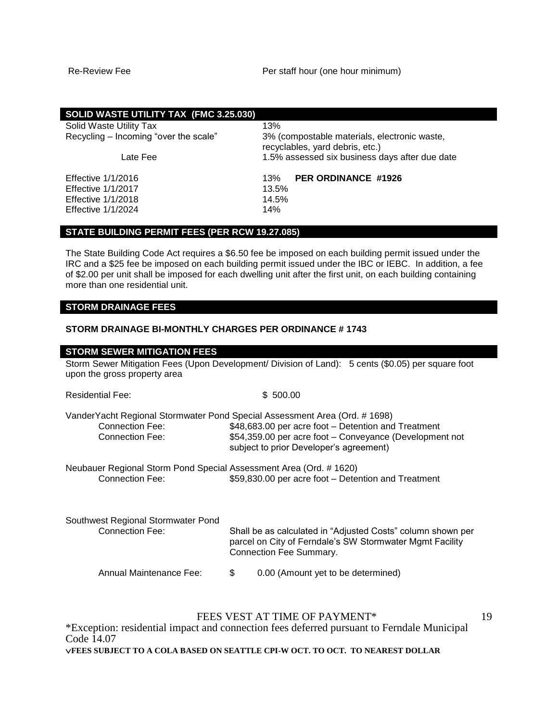| SOLID WASTE UTILITY TAX (FMC 3.25.030) |                                                                                 |
|----------------------------------------|---------------------------------------------------------------------------------|
| Solid Waste Utility Tax                | 13%                                                                             |
| Recycling – Incoming "over the scale"  | 3% (compostable materials, electronic waste,<br>recyclables, yard debris, etc.) |
| Late Fee                               | 1.5% assessed six business days after due date                                  |
| Effective 1/1/2016                     | <b>PER ORDINANCE #1926</b><br>13%                                               |
| <b>Effective 1/1/2017</b>              | 13.5%                                                                           |
| <b>Effective 1/1/2018</b>              | 14.5%                                                                           |
| <b>Effective 1/1/2024</b>              | 14%                                                                             |

# **STATE BUILDING PERMIT FEES (PER RCW 19.27.085)**

The State Building Code Act requires a \$6.50 fee be imposed on each building permit issued under the IRC and a \$25 fee be imposed on each building permit issued under the IBC or IEBC. In addition, a fee of \$2.00 per unit shall be imposed for each dwelling unit after the first unit, on each building containing more than one residential unit.

# **STORM DRAINAGE FEES**

#### **STORM DRAINAGE BI-MONTHLY CHARGES PER ORDINANCE # 1743**

| <b>STORM SEWER MITIGATION FEES</b>                                                    |                                                                                                                                                                                                                                         |
|---------------------------------------------------------------------------------------|-----------------------------------------------------------------------------------------------------------------------------------------------------------------------------------------------------------------------------------------|
| upon the gross property area                                                          | Storm Sewer Mitigation Fees (Upon Development/ Division of Land): 5 cents (\$0.05) per square foot                                                                                                                                      |
| <b>Residential Fee:</b>                                                               | \$500.00                                                                                                                                                                                                                                |
| Connection Fee:<br>Connection Fee:                                                    | VanderYacht Regional Stormwater Pond Special Assessment Area (Ord. # 1698)<br>\$48,683.00 per acre foot - Detention and Treatment<br>\$54,359.00 per acre foot – Conveyance (Development not<br>subject to prior Developer's agreement) |
| Neubauer Regional Storm Pond Special Assessment Area (Ord. # 1620)<br>Connection Fee: | \$59,830.00 per acre foot - Detention and Treatment                                                                                                                                                                                     |
| Southwest Regional Stormwater Pond<br>Connection Fee:                                 | Shall be as calculated in "Adjusted Costs" column shown per<br>parcel on City of Ferndale's SW Stormwater Mgmt Facility<br>Connection Fee Summary.                                                                                      |
| Annual Maintenance Fee:                                                               | \$<br>0.00 (Amount yet to be determined)                                                                                                                                                                                                |

# FEES VEST AT TIME OF PAYMENT\*

19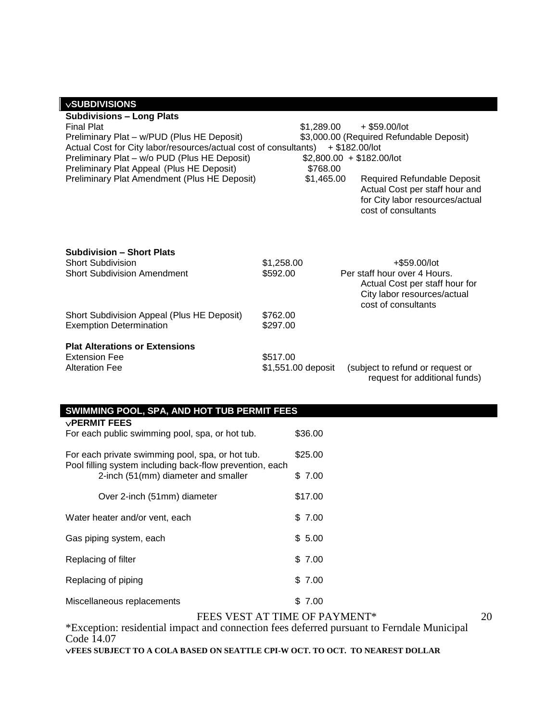| <b>VSUBDIVISIONS</b>                                                                                                                                                                                                                                                                                                 |                                      |                                                                                                                                                                                                                                          |
|----------------------------------------------------------------------------------------------------------------------------------------------------------------------------------------------------------------------------------------------------------------------------------------------------------------------|--------------------------------------|------------------------------------------------------------------------------------------------------------------------------------------------------------------------------------------------------------------------------------------|
| <b>Subdivisions - Long Plats</b><br><b>Final Plat</b><br>Preliminary Plat - w/PUD (Plus HE Deposit)<br>Actual Cost for City labor/resources/actual cost of consultants)<br>Preliminary Plat - w/o PUD (Plus HE Deposit)<br>Preliminary Plat Appeal (Plus HE Deposit)<br>Preliminary Plat Amendment (Plus HE Deposit) | \$1.289.00<br>\$768.00<br>\$1,465.00 | $+$ \$59,00/lot<br>\$3,000.00 (Required Refundable Deposit)<br>$+$ \$182,00/lot<br>$$2,800.00 + $182.00/$ lot<br>Required Refundable Deposit<br>Actual Cost per staff hour and<br>for City labor resources/actual<br>cost of consultants |
| <b>Subdivision - Short Plats</b><br><b>Short Subdivision</b><br><b>Short Subdivision Amendment</b><br>Short Subdivision Appeal (Plus HE Deposit)                                                                                                                                                                     | \$1,258.00<br>\$592.00<br>\$762.00   | +\$59.00/lot<br>Per staff hour over 4 Hours.<br>Actual Cost per staff hour for<br>City labor resources/actual<br>cost of consultants                                                                                                     |
| <b>Exemption Determination</b>                                                                                                                                                                                                                                                                                       | \$297.00                             |                                                                                                                                                                                                                                          |
| <b>Plat Alterations or Extensions</b><br><b>Extension Fee</b><br><b>Alteration Fee</b>                                                                                                                                                                                                                               | \$517.00<br>\$1,551.00 deposit       | (subject to refund or request or<br>request for additional funds)                                                                                                                                                                        |

| SWIMMING POOL, SPA, AND HOT TUB PERMIT FEES                                                     |         |  |
|-------------------------------------------------------------------------------------------------|---------|--|
| $\vee$ PERMIT FEES<br>For each public swimming pool, spa, or hot tub.                           | \$36.00 |  |
| For each private swimming pool, spa, or hot tub.                                                | \$25.00 |  |
| Pool filling system including back-flow prevention, each<br>2-inch (51(mm) diameter and smaller | \$7.00  |  |
| Over 2-inch (51mm) diameter                                                                     | \$17.00 |  |
| Water heater and/or vent, each                                                                  | \$7.00  |  |
| Gas piping system, each                                                                         | \$5.00  |  |
| Replacing of filter                                                                             | \$7.00  |  |
| Replacing of piping                                                                             | \$7.00  |  |
| Miscellaneous replacements                                                                      | \$7.00  |  |
| FEES VEST AT TIME OF PAYMENT*<br>20                                                             |         |  |

\*Exception: residential impact and connection fees deferred pursuant to Ferndale Municipal Code 14.07